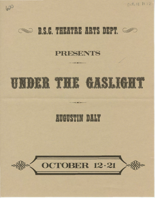Oct, 12 1972





### PRESENTS

# UNDER THE GASLIGHT

## **AUGUSTIN DALY**

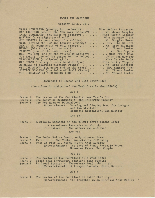#### UNDER THE GASLIGHT

#### October 12-21, 1972

| OCTODEL 17-71' 1217                                                                                                                                                                                                                               |
|---------------------------------------------------------------------------------------------------------------------------------------------------------------------------------------------------------------------------------------------------|
| PEARL COURTLAND (pretty, but no heart) Miss Andrea Parenteau<br>RAY TRAFFORD (one of the New York "bloods") Mr. James Langley<br>LAURA COURTLAND (the Belle of Society) Miss Marcia Lickley<br>MARTINE (a straight-laced maid) Miss Royanne Klein |
| JOE SNORKEY (a poor stump of a soldier) Mr. Douglas Bower                                                                                                                                                                                         |
| BYKE (beyond the law and beneath contempt) Mr. John Elliott                                                                                                                                                                                       |
| DEMILT (a young swell of Wall Street). Mr. Eric Bischoff                                                                                                                                                                                          |
| WINDEL (his friend, not so swell). Mr. Thomas Beeler                                                                                                                                                                                              |
| PEANUTS (one of the under crust) Mr. Ben Copple                                                                                                                                                                                                   |
| MRS. VAN DAM (one of the voices of Society) Miss Paula Dean                                                                                                                                                                                       |
| SUE EARLIE (one of the echoes of the voice) Miss Jan Huetter                                                                                                                                                                                      |
| PEACHBLOSSOM (a slipshod girl) Miss Terrie Jenks                                                                                                                                                                                                  |
| OLD JUDAS (the right under-hand of Byke) Miss Cecily Tippery                                                                                                                                                                                      |
| BERMUDAS (a sidewalk merchant Prince) Mr. Eric Bischoff                                                                                                                                                                                           |
| OFFICER ACTON (in court and on the alert) Mr. Kenneth Shaw                                                                                                                                                                                        |
| JUSTICE BOWLING (the Solon of Small Claims). Mr. Thomas Beeler                                                                                                                                                                                    |
| THE SIGNALMAN AT SHREWSBURY BEND Mr. Thomas Beeler                                                                                                                                                                                                |

Synopsis of Scenes and Olio Interludes

(Locations in and around New York City in the 1880's)

ACT I

Scene 1: Scene 2: The lobby of Delmonico's; the following Tuesday Scene 3: The parlor of the Courtland's; New Year's Eve The Red Room of Delmonico's<br>Entertainment: Dancin Dancing and Singing Duo, Jay Lythgoe and Pam Whittaker Dramatic Recitation, Jan Huetter

#### ACT II

Scene 1: A squalid basement in the slums; three months later A ten-minute intermission for the refreshment of the actors and audience

ACT III

Scene 1: Scene 2: Scene 3: The Tombs Police Court; only minutes later Exterior of the Tombs; immediately following Foot of Pier 30, North River; that evening Entertainment: The Lady of Song, Rochelle Bacon Humorous Essay, Ben Copple

#### ACT IV

|          | Scene 1: The parlor of the Courtland's; a week later |  |
|----------|------------------------------------------------------|--|
|          | Scene 2: Woods near Shrewsbury Station; that evening |  |
| Scene 3: | Railroad Station at Shrewsbury Bend; that night      |  |
|          | Entertainment: A Trumpet Fantasy, Steve Barrett      |  |

#### ACT V

Scene 1: The parlor at the Courtland's; later that night Entertainment: The Ensemble in an Election Year Medley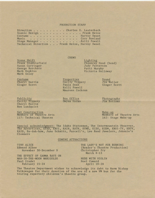#### PRODUCTION STAFF

CREWS

|  |  |  |  |  |  |  | Direction Charles E. Lauterbach               |
|--|--|--|--|--|--|--|-----------------------------------------------|
|  |  |  |  |  |  |  | Scenic Design Frank Heise                     |
|  |  |  |  |  |  |  | Costume Harvey Sweet                          |
|  |  |  |  |  |  |  | Music Cory Rowland                            |
|  |  |  |  |  |  |  | Stage ManagerKelli Powell                     |
|  |  |  |  |  |  |  | Technical Direction Frank Heise, Harvey Sweet |

Scene Shift Frank Stubblefield Susan Carringer George Borchers Mark Hopkins Mark Golay

Costume Cheryl Hurrle Ginger Scott

Publicity Cecily Tippery Cheryl Hurrle Ron Lundquist

Set Construction Members of Theatre Arts 117: Technical Theatre

Lighting Chauncey Hood (head) Judy Patterson Patti Murphy Victoria Holloway

Properties Cecily Tippery<br>Paula Dean Kelli Powell Maureen Cochran Sound J1m Waller Ginger Scott

Box Office Gwynn Harms

Photography Jim Bottoms

Make-up Members of Theatre Arts 162: Stage Make-up

Special acknowledgment: The Idaho Statesman, The Intermountain Observer, The Advertiser, KFXD, KBOI, KAIN, KATN, KYME, KIDO, KGEM, KBOI-TV, KBTV, KAID, Ee-dah-how, June Schmitz, Purcell's, Lee Read Jewelers, Johnnie's Cleaners

#### COMING ATTRACTIONS

TINY ALICE Edward Albee November 30-December 9 THE LADY'S NOT FOR BURNING (Reader's Theatre Production) Christopher Fry March 8-13

THE EFFECT OF GAMMA RAYS ON MAN-IN-THE-MOON MARIGOLDS Paul Zindel February 15-24

NUDE WITH VIOLIN Noel Coward April 19-28

The Theatre Department wishes to acknowledge its debt to Norm Bishop Volkswagen for their donation of the use of a new VW bus for the touring repertory children's theatre group.